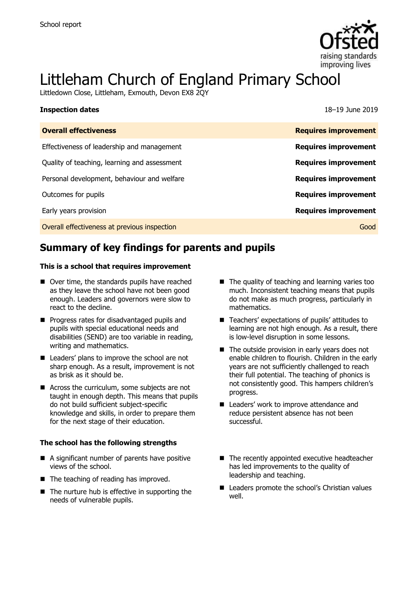

# Littleham Church of England Primary School

Littledown Close, Littleham, Exmouth, Devon EX8 2QY

| <b>Inspection dates</b>                      | 18–19 June 2019             |
|----------------------------------------------|-----------------------------|
| <b>Overall effectiveness</b>                 | <b>Requires improvement</b> |
| Effectiveness of leadership and management   | <b>Requires improvement</b> |
| Quality of teaching, learning and assessment | <b>Requires improvement</b> |
| Personal development, behaviour and welfare  | <b>Requires improvement</b> |
| Outcomes for pupils                          | <b>Requires improvement</b> |
| Early years provision                        | <b>Requires improvement</b> |
| Overall effectiveness at previous inspection | Good                        |

# **Summary of key findings for parents and pupils**

#### **This is a school that requires improvement**

- Over time, the standards pupils have reached as they leave the school have not been good enough. Leaders and governors were slow to react to the decline.
- **Progress rates for disadvantaged pupils and** pupils with special educational needs and disabilities (SEND) are too variable in reading, writing and mathematics.
- Leaders' plans to improve the school are not sharp enough. As a result, improvement is not as brisk as it should be.
- Across the curriculum, some subjects are not taught in enough depth. This means that pupils do not build sufficient subject-specific knowledge and skills, in order to prepare them for the next stage of their education.

#### **The school has the following strengths**

- A significant number of parents have positive views of the school.
- The teaching of reading has improved.
- The nurture hub is effective in supporting the needs of vulnerable pupils.
- $\blacksquare$  The quality of teaching and learning varies too much. Inconsistent teaching means that pupils do not make as much progress, particularly in mathematics.
- Teachers' expectations of pupils' attitudes to learning are not high enough. As a result, there is low-level disruption in some lessons.
- $\blacksquare$  The outside provision in early years does not enable children to flourish. Children in the early years are not sufficiently challenged to reach their full potential. The teaching of phonics is not consistently good. This hampers children's progress.
- Leaders' work to improve attendance and reduce persistent absence has not been successful.
- The recently appointed executive headteacher has led improvements to the quality of leadership and teaching.
- Leaders promote the school's Christian values well.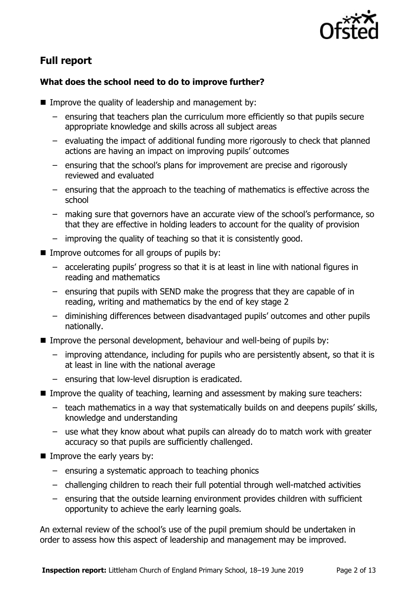

# **Full report**

### **What does the school need to do to improve further?**

- Improve the quality of leadership and management by:
	- ensuring that teachers plan the curriculum more efficiently so that pupils secure appropriate knowledge and skills across all subject areas
	- evaluating the impact of additional funding more rigorously to check that planned actions are having an impact on improving pupils' outcomes
	- ensuring that the school's plans for improvement are precise and rigorously reviewed and evaluated
	- ensuring that the approach to the teaching of mathematics is effective across the school
	- making sure that governors have an accurate view of the school's performance, so that they are effective in holding leaders to account for the quality of provision
	- improving the quality of teaching so that it is consistently good.
- $\blacksquare$  Improve outcomes for all groups of pupils by:
	- accelerating pupils' progress so that it is at least in line with national figures in reading and mathematics
	- ensuring that pupils with SEND make the progress that they are capable of in reading, writing and mathematics by the end of key stage 2
	- diminishing differences between disadvantaged pupils' outcomes and other pupils nationally.
- Improve the personal development, behaviour and well-being of pupils by:
	- improving attendance, including for pupils who are persistently absent, so that it is at least in line with the national average
	- ensuring that low-level disruption is eradicated.
- Improve the quality of teaching, learning and assessment by making sure teachers:
	- teach mathematics in a way that systematically builds on and deepens pupils' skills, knowledge and understanding
	- use what they know about what pupils can already do to match work with greater accuracy so that pupils are sufficiently challenged.
- $\blacksquare$  Improve the early years by:
	- ensuring a systematic approach to teaching phonics
	- challenging children to reach their full potential through well-matched activities
	- ensuring that the outside learning environment provides children with sufficient opportunity to achieve the early learning goals.

An external review of the school's use of the pupil premium should be undertaken in order to assess how this aspect of leadership and management may be improved.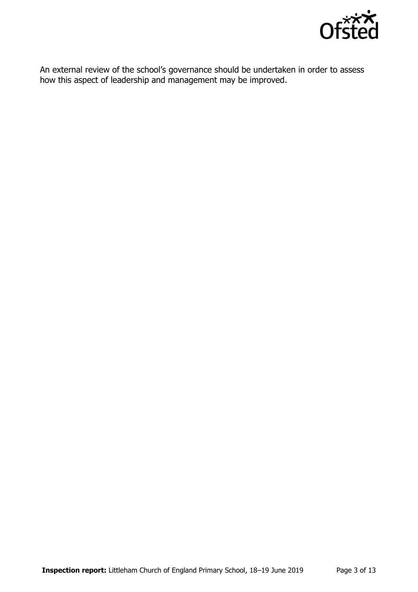

An external review of the school's governance should be undertaken in order to assess how this aspect of leadership and management may be improved.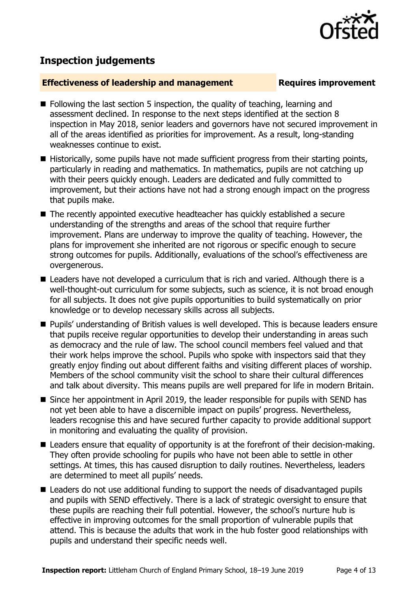

# **Inspection judgements**

#### **Effectiveness of leadership and management Requires improvement**

- $\blacksquare$  Following the last section 5 inspection, the quality of teaching, learning and assessment declined. In response to the next steps identified at the section 8 inspection in May 2018, senior leaders and governors have not secured improvement in all of the areas identified as priorities for improvement. As a result, long-standing weaknesses continue to exist.
- $\blacksquare$  Historically, some pupils have not made sufficient progress from their starting points, particularly in reading and mathematics. In mathematics, pupils are not catching up with their peers quickly enough. Leaders are dedicated and fully committed to improvement, but their actions have not had a strong enough impact on the progress that pupils make.
- The recently appointed executive headteacher has quickly established a secure understanding of the strengths and areas of the school that require further improvement. Plans are underway to improve the quality of teaching. However, the plans for improvement she inherited are not rigorous or specific enough to secure strong outcomes for pupils. Additionally, evaluations of the school's effectiveness are overgenerous.
- Leaders have not developed a curriculum that is rich and varied. Although there is a well-thought-out curriculum for some subjects, such as science, it is not broad enough for all subjects. It does not give pupils opportunities to build systematically on prior knowledge or to develop necessary skills across all subjects.
- Pupils' understanding of British values is well developed. This is because leaders ensure that pupils receive regular opportunities to develop their understanding in areas such as democracy and the rule of law. The school council members feel valued and that their work helps improve the school. Pupils who spoke with inspectors said that they greatly enjoy finding out about different faiths and visiting different places of worship. Members of the school community visit the school to share their cultural differences and talk about diversity. This means pupils are well prepared for life in modern Britain.
- Since her appointment in April 2019, the leader responsible for pupils with SEND has not yet been able to have a discernible impact on pupils' progress. Nevertheless, leaders recognise this and have secured further capacity to provide additional support in monitoring and evaluating the quality of provision.
- Leaders ensure that equality of opportunity is at the forefront of their decision-making. They often provide schooling for pupils who have not been able to settle in other settings. At times, this has caused disruption to daily routines. Nevertheless, leaders are determined to meet all pupils' needs.
- Leaders do not use additional funding to support the needs of disadvantaged pupils and pupils with SEND effectively. There is a lack of strategic oversight to ensure that these pupils are reaching their full potential. However, the school's nurture hub is effective in improving outcomes for the small proportion of vulnerable pupils that attend. This is because the adults that work in the hub foster good relationships with pupils and understand their specific needs well.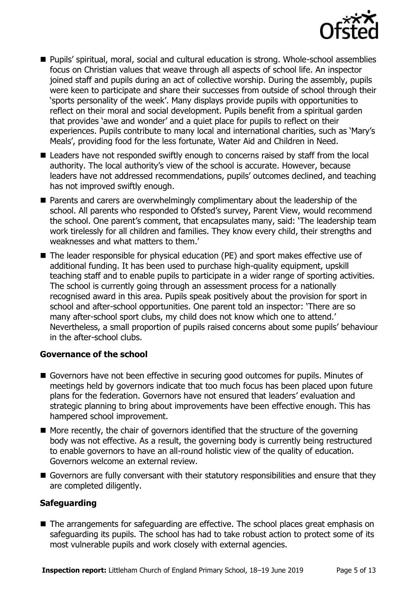

- Pupils' spiritual, moral, social and cultural education is strong. Whole-school assemblies focus on Christian values that weave through all aspects of school life. An inspector joined staff and pupils during an act of collective worship. During the assembly, pupils were keen to participate and share their successes from outside of school through their 'sports personality of the week'. Many displays provide pupils with opportunities to reflect on their moral and social development. Pupils benefit from a spiritual garden that provides 'awe and wonder' and a quiet place for pupils to reflect on their experiences. Pupils contribute to many local and international charities, such as 'Mary's Meals', providing food for the less fortunate, Water Aid and Children in Need.
- Leaders have not responded swiftly enough to concerns raised by staff from the local authority. The local authority's view of the school is accurate. However, because leaders have not addressed recommendations, pupils' outcomes declined, and teaching has not improved swiftly enough.
- **Parents and carers are overwhelmingly complimentary about the leadership of the** school. All parents who responded to Ofsted's survey, Parent View, would recommend the school. One parent's comment, that encapsulates many, said: 'The leadership team work tirelessly for all children and families. They know every child, their strengths and weaknesses and what matters to them.'
- The leader responsible for physical education (PE) and sport makes effective use of additional funding. It has been used to purchase high-quality equipment, upskill teaching staff and to enable pupils to participate in a wider range of sporting activities. The school is currently going through an assessment process for a nationally recognised award in this area. Pupils speak positively about the provision for sport in school and after-school opportunities. One parent told an inspector: 'There are so many after-school sport clubs, my child does not know which one to attend.' Nevertheless, a small proportion of pupils raised concerns about some pupils' behaviour in the after-school clubs.

### **Governance of the school**

- Governors have not been effective in securing good outcomes for pupils. Minutes of meetings held by governors indicate that too much focus has been placed upon future plans for the federation. Governors have not ensured that leaders' evaluation and strategic planning to bring about improvements have been effective enough. This has hampered school improvement.
- $\blacksquare$  More recently, the chair of governors identified that the structure of the governing body was not effective. As a result, the governing body is currently being restructured to enable governors to have an all-round holistic view of the quality of education. Governors welcome an external review.
- Governors are fully conversant with their statutory responsibilities and ensure that they are completed diligently.

#### **Safeguarding**

■ The arrangements for safeguarding are effective. The school places great emphasis on safeguarding its pupils. The school has had to take robust action to protect some of its most vulnerable pupils and work closely with external agencies.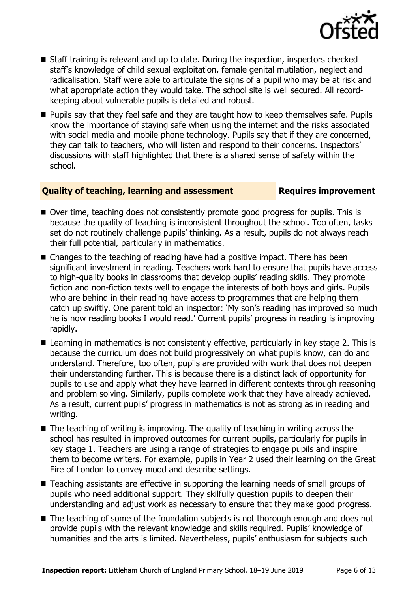

- Staff training is relevant and up to date. During the inspection, inspectors checked staff's knowledge of child sexual exploitation, female genital mutilation, neglect and radicalisation. Staff were able to articulate the signs of a pupil who may be at risk and what appropriate action they would take. The school site is well secured. All recordkeeping about vulnerable pupils is detailed and robust.
- **Pupils say that they feel safe and they are taught how to keep themselves safe. Pupils** know the importance of staying safe when using the internet and the risks associated with social media and mobile phone technology. Pupils say that if they are concerned, they can talk to teachers, who will listen and respond to their concerns. Inspectors' discussions with staff highlighted that there is a shared sense of safety within the school.

#### **Quality of teaching, learning and assessment Requires improvement**

- Over time, teaching does not consistently promote good progress for pupils. This is because the quality of teaching is inconsistent throughout the school. Too often, tasks set do not routinely challenge pupils' thinking. As a result, pupils do not always reach their full potential, particularly in mathematics.
- Changes to the teaching of reading have had a positive impact. There has been significant investment in reading. Teachers work hard to ensure that pupils have access to high-quality books in classrooms that develop pupils' reading skills. They promote fiction and non-fiction texts well to engage the interests of both boys and girls. Pupils who are behind in their reading have access to programmes that are helping them catch up swiftly. One parent told an inspector: 'My son's reading has improved so much he is now reading books I would read.' Current pupils' progress in reading is improving rapidly.
- Learning in mathematics is not consistently effective, particularly in key stage 2. This is because the curriculum does not build progressively on what pupils know, can do and understand. Therefore, too often, pupils are provided with work that does not deepen their understanding further. This is because there is a distinct lack of opportunity for pupils to use and apply what they have learned in different contexts through reasoning and problem solving. Similarly, pupils complete work that they have already achieved. As a result, current pupils' progress in mathematics is not as strong as in reading and writing.
- $\blacksquare$  The teaching of writing is improving. The quality of teaching in writing across the school has resulted in improved outcomes for current pupils, particularly for pupils in key stage 1. Teachers are using a range of strategies to engage pupils and inspire them to become writers. For example, pupils in Year 2 used their learning on the Great Fire of London to convey mood and describe settings.
- Teaching assistants are effective in supporting the learning needs of small groups of pupils who need additional support. They skilfully question pupils to deepen their understanding and adjust work as necessary to ensure that they make good progress.
- The teaching of some of the foundation subjects is not thorough enough and does not provide pupils with the relevant knowledge and skills required. Pupils' knowledge of humanities and the arts is limited. Nevertheless, pupils' enthusiasm for subjects such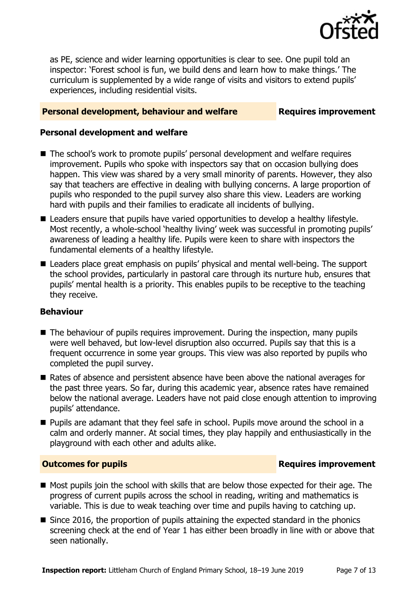

as PE, science and wider learning opportunities is clear to see. One pupil told an inspector: 'Forest school is fun, we build dens and learn how to make things.' The curriculum is supplemented by a wide range of visits and visitors to extend pupils' experiences, including residential visits.

#### **Personal development, behaviour and welfare Fig. 2.1 Requires improvement**

#### **Personal development and welfare**

- The school's work to promote pupils' personal development and welfare requires improvement. Pupils who spoke with inspectors say that on occasion bullying does happen. This view was shared by a very small minority of parents. However, they also say that teachers are effective in dealing with bullying concerns. A large proportion of pupils who responded to the pupil survey also share this view. Leaders are working hard with pupils and their families to eradicate all incidents of bullying.
- Leaders ensure that pupils have varied opportunities to develop a healthy lifestyle. Most recently, a whole-school 'healthy living' week was successful in promoting pupils' awareness of leading a healthy life. Pupils were keen to share with inspectors the fundamental elements of a healthy lifestyle.
- Leaders place great emphasis on pupils' physical and mental well-being. The support the school provides, particularly in pastoral care through its nurture hub, ensures that pupils' mental health is a priority. This enables pupils to be receptive to the teaching they receive.

### **Behaviour**

- $\blacksquare$  The behaviour of pupils requires improvement. During the inspection, many pupils were well behaved, but low-level disruption also occurred. Pupils say that this is a frequent occurrence in some year groups. This view was also reported by pupils who completed the pupil survey.
- Rates of absence and persistent absence have been above the national averages for the past three years. So far, during this academic year, absence rates have remained below the national average. Leaders have not paid close enough attention to improving pupils' attendance.
- **Pupils are adamant that they feel safe in school. Pupils move around the school in a** calm and orderly manner. At social times, they play happily and enthusiastically in the playground with each other and adults alike.

#### **Outcomes for pupils Requires improvement**

- Most pupils join the school with skills that are below those expected for their age. The progress of current pupils across the school in reading, writing and mathematics is variable. This is due to weak teaching over time and pupils having to catching up.
- Since 2016, the proportion of pupils attaining the expected standard in the phonics screening check at the end of Year 1 has either been broadly in line with or above that seen nationally.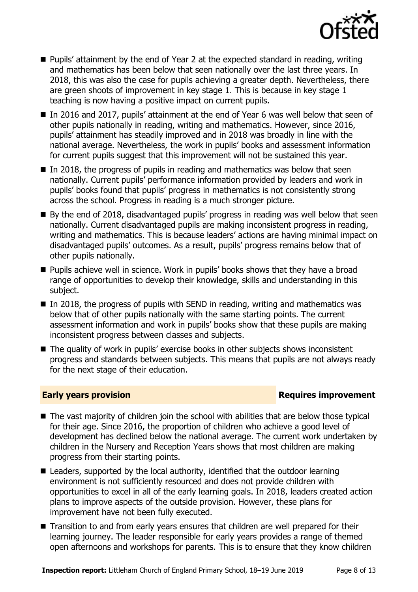

- Pupils' attainment by the end of Year 2 at the expected standard in reading, writing and mathematics has been below that seen nationally over the last three years. In 2018, this was also the case for pupils achieving a greater depth. Nevertheless, there are green shoots of improvement in key stage 1. This is because in key stage 1 teaching is now having a positive impact on current pupils.
- In 2016 and 2017, pupils' attainment at the end of Year 6 was well below that seen of other pupils nationally in reading, writing and mathematics. However, since 2016, pupils' attainment has steadily improved and in 2018 was broadly in line with the national average. Nevertheless, the work in pupils' books and assessment information for current pupils suggest that this improvement will not be sustained this year.
- $\blacksquare$  In 2018, the progress of pupils in reading and mathematics was below that seen nationally. Current pupils' performance information provided by leaders and work in pupils' books found that pupils' progress in mathematics is not consistently strong across the school. Progress in reading is a much stronger picture.
- By the end of 2018, disadvantaged pupils' progress in reading was well below that seen nationally. Current disadvantaged pupils are making inconsistent progress in reading, writing and mathematics. This is because leaders' actions are having minimal impact on disadvantaged pupils' outcomes. As a result, pupils' progress remains below that of other pupils nationally.
- **Pupils achieve well in science. Work in pupils' books shows that they have a broad** range of opportunities to develop their knowledge, skills and understanding in this subject.
- $\blacksquare$  In 2018, the progress of pupils with SEND in reading, writing and mathematics was below that of other pupils nationally with the same starting points. The current assessment information and work in pupils' books show that these pupils are making inconsistent progress between classes and subjects.
- The quality of work in pupils' exercise books in other subjects shows inconsistent progress and standards between subjects. This means that pupils are not always ready for the next stage of their education.

### **Early years provision Requires improvement**

- The vast majority of children join the school with abilities that are below those typical for their age. Since 2016, the proportion of children who achieve a good level of development has declined below the national average. The current work undertaken by children in the Nursery and Reception Years shows that most children are making progress from their starting points.
- Leaders, supported by the local authority, identified that the outdoor learning environment is not sufficiently resourced and does not provide children with opportunities to excel in all of the early learning goals. In 2018, leaders created action plans to improve aspects of the outside provision. However, these plans for improvement have not been fully executed.
- Transition to and from early years ensures that children are well prepared for their learning journey. The leader responsible for early years provides a range of themed open afternoons and workshops for parents. This is to ensure that they know children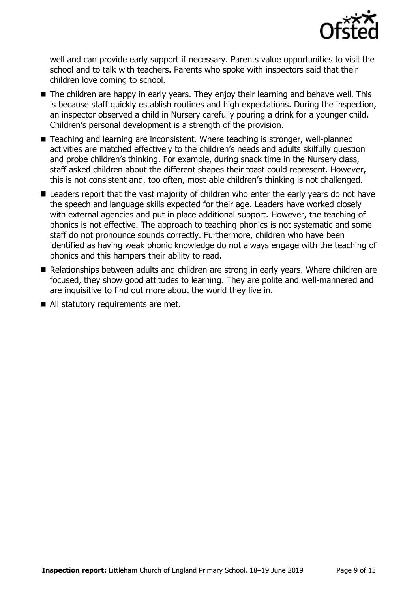

well and can provide early support if necessary. Parents value opportunities to visit the school and to talk with teachers. Parents who spoke with inspectors said that their children love coming to school.

- The children are happy in early years. They enjoy their learning and behave well. This is because staff quickly establish routines and high expectations. During the inspection, an inspector observed a child in Nursery carefully pouring a drink for a younger child. Children's personal development is a strength of the provision.
- Teaching and learning are inconsistent. Where teaching is stronger, well-planned activities are matched effectively to the children's needs and adults skilfully question and probe children's thinking. For example, during snack time in the Nursery class, staff asked children about the different shapes their toast could represent. However, this is not consistent and, too often, most-able children's thinking is not challenged.
- Leaders report that the vast majority of children who enter the early years do not have the speech and language skills expected for their age. Leaders have worked closely with external agencies and put in place additional support. However, the teaching of phonics is not effective. The approach to teaching phonics is not systematic and some staff do not pronounce sounds correctly. Furthermore, children who have been identified as having weak phonic knowledge do not always engage with the teaching of phonics and this hampers their ability to read.
- Relationships between adults and children are strong in early years. Where children are focused, they show good attitudes to learning. They are polite and well-mannered and are inquisitive to find out more about the world they live in.
- All statutory requirements are met.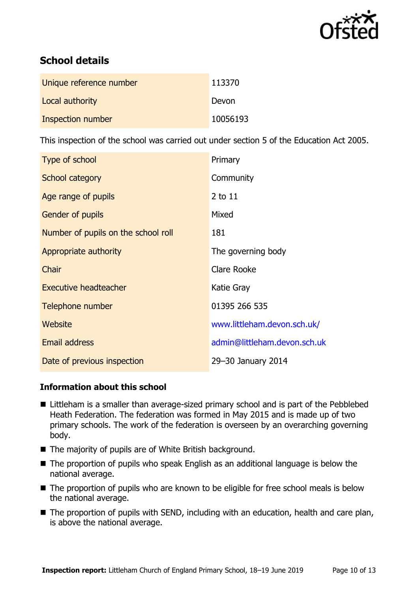

# **School details**

| Unique reference number | 113370   |
|-------------------------|----------|
| Local authority         | Devon    |
| Inspection number       | 10056193 |

This inspection of the school was carried out under section 5 of the Education Act 2005.

| Type of school                      | Primary                      |
|-------------------------------------|------------------------------|
| School category                     | Community                    |
| Age range of pupils                 | $2$ to $11$                  |
| <b>Gender of pupils</b>             | Mixed                        |
| Number of pupils on the school roll | 181                          |
| Appropriate authority               | The governing body           |
| Chair                               | Clare Rooke                  |
| Executive headteacher               | Katie Gray                   |
| Telephone number                    | 01395 266 535                |
| Website                             | www.littleham.devon.sch.uk/  |
| <b>Email address</b>                | admin@littleham.devon.sch.uk |
| Date of previous inspection         | 29-30 January 2014           |

### **Information about this school**

- Littleham is a smaller than average-sized primary school and is part of the Pebblebed Heath Federation. The federation was formed in May 2015 and is made up of two primary schools. The work of the federation is overseen by an overarching governing body.
- The majority of pupils are of White British background.
- The proportion of pupils who speak English as an additional language is below the national average.
- The proportion of pupils who are known to be eligible for free school meals is below the national average.
- The proportion of pupils with SEND, including with an education, health and care plan, is above the national average.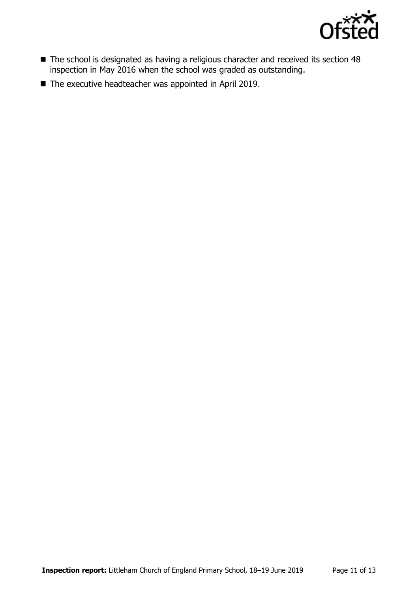

- The school is designated as having a religious character and received its section 48 inspection in May 2016 when the school was graded as outstanding.
- The executive headteacher was appointed in April 2019.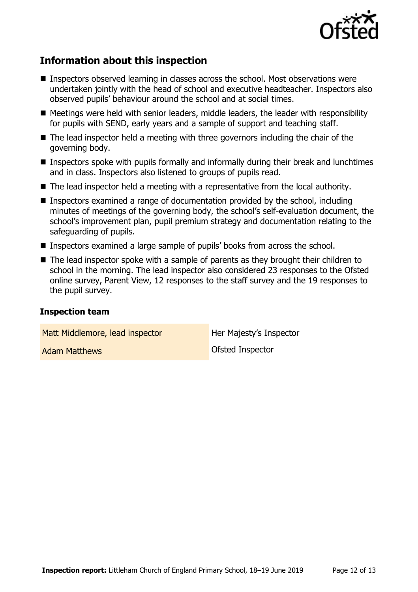

# **Information about this inspection**

- Inspectors observed learning in classes across the school. Most observations were undertaken jointly with the head of school and executive headteacher. Inspectors also observed pupils' behaviour around the school and at social times.
- Meetings were held with senior leaders, middle leaders, the leader with responsibility for pupils with SEND, early years and a sample of support and teaching staff.
- $\blacksquare$  The lead inspector held a meeting with three governors including the chair of the governing body.
- **Inspectors spoke with pupils formally and informally during their break and lunchtimes** and in class. Inspectors also listened to groups of pupils read.
- The lead inspector held a meeting with a representative from the local authority.
- Inspectors examined a range of documentation provided by the school, including minutes of meetings of the governing body, the school's self-evaluation document, the school's improvement plan, pupil premium strategy and documentation relating to the safeguarding of pupils.
- Inspectors examined a large sample of pupils' books from across the school.
- The lead inspector spoke with a sample of parents as they brought their children to school in the morning. The lead inspector also considered 23 responses to the Ofsted online survey, Parent View, 12 responses to the staff survey and the 19 responses to the pupil survey.

#### **Inspection team**

Matt Middlemore, lead inspector **Her Majesty's Inspector** 

Adam Matthews **Contact Contact Contact Contact Contact Contact Contact Contact Contact Contact Contact Contact Contact Contact Contact Contact Contact Contact Contact Contact Contact Contact Contact Contact Contact Contact**